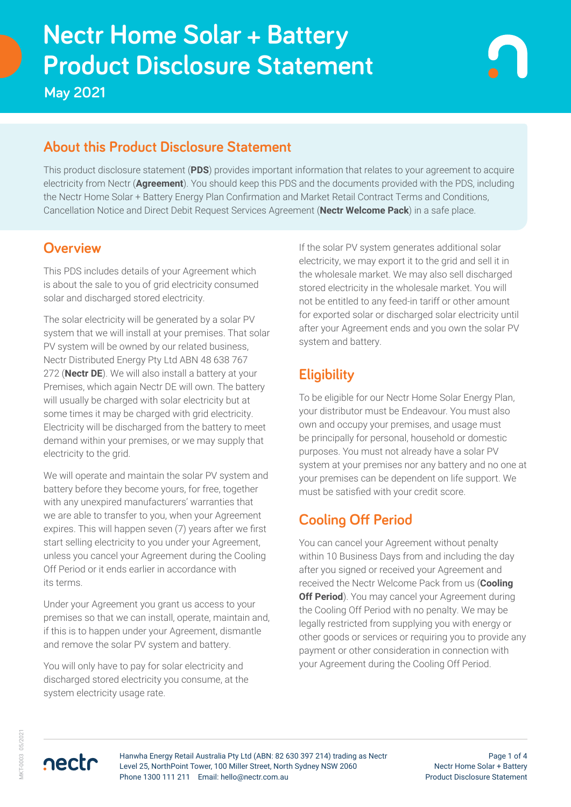# **Product Disclosure Statement Nectr Home Solar + Battery**

**May 2021**

# **About this Product Disclosure Statement**

This product disclosure statement (**PDS**) provides important information that relates to your agreement to acquire electricity from Nectr (**Agreement**). You should keep this PDS and the documents provided with the PDS, including the Nectr Home Solar + Battery Energy Plan Confirmation and Market Retail Contract Terms and Conditions, Cancellation Notice and Direct Debit Request Services Agreement (**Nectr Welcome Pack**) in a safe place.

# **Overview**

This PDS includes details of your Agreement which is about the sale to you of grid electricity consumed solar and discharged stored electricity.

The solar electricity will be generated by a solar PV system that we will install at your premises. That solar PV system will be owned by our related business, Nectr Distributed Energy Pty Ltd ABN 48 638 767 272 (**Nectr DE**). We will also install a battery at your Premises, which again Nectr DE will own. The battery will usually be charged with solar electricity but at some times it may be charged with grid electricity. Electricity will be discharged from the battery to meet demand within your premises, or we may supply that electricity to the grid.

We will operate and maintain the solar PV system and battery before they become yours, for free, together with any unexpired manufacturers' warranties that we are able to transfer to you, when your Agreement expires. This will happen seven (7) years after we first start selling electricity to you under your Agreement, unless you cancel your Agreement during the Cooling Off Period or it ends earlier in accordance with its terms.

Under your Agreement you grant us access to your premises so that we can install, operate, maintain and, if this is to happen under your Agreement, dismantle and remove the solar PV system and battery.

You will only have to pay for solar electricity and discharged stored electricity you consume, at the system electricity usage rate.

If the solar PV system generates additional solar electricity, we may export it to the grid and sell it in the wholesale market. We may also sell discharged stored electricity in the wholesale market. You will not be entitled to any feed-in tariff or other amount for exported solar or discharged solar electricity until after your Agreement ends and you own the solar PV system and battery.

# **Eligibility**

To be eligible for our Nectr Home Solar Energy Plan, your distributor must be Endeavour. You must also own and occupy your premises, and usage must be principally for personal, household or domestic purposes. You must not already have a solar PV system at your premises nor any battery and no one at your premises can be dependent on life support. We must be satisfied with your credit score.

# **Cooling Off Period**

You can cancel your Agreement without penalty within 10 Business Days from and including the day after you signed or received your Agreement and received the Nectr Welcome Pack from us (**Cooling Off Period**). You may cancel your Agreement during the Cooling Off Period with no penalty. We may be legally restricted from supplying you with energy or other goods or services or requiring you to provide any payment or other consideration in connection with your Agreement during the Cooling Off Period.

**AKT-0003 05/2021** MKT-0003 05/2021

nectr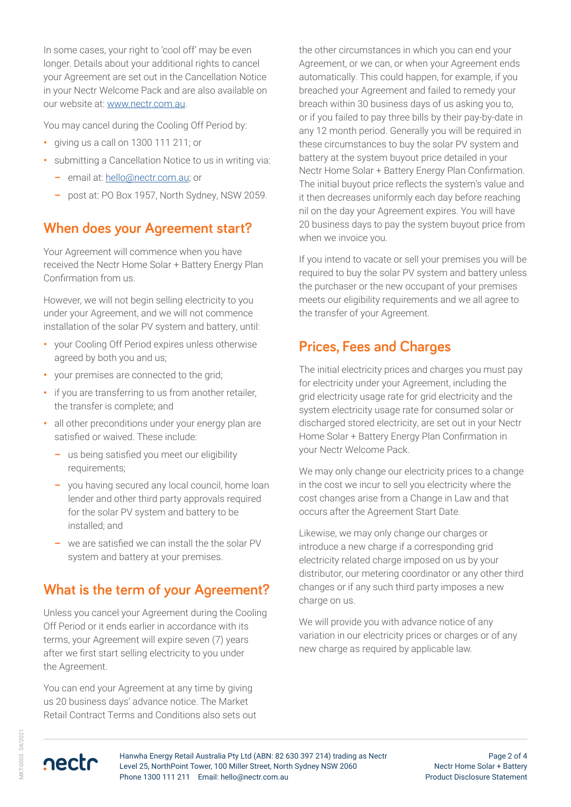In some cases, your right to 'cool off' may be even longer. Details about your additional rights to cancel your Agreement are set out in the Cancellation Notice in your Nectr Welcome Pack and are also available on our website at: [www.nectr.com.au](https://nectr.com.au/).

You may cancel during the Cooling Off Period by:

- **•** giving us a call on 1300 111 211; or
- **•** submitting a Cancellation Notice to us in writing via:
	- **–** email at: [hello@nectr.com.au](mailto:hello%40nectr.com.au?subject=); or
	- **–** post at: PO Box 1957, North Sydney, NSW 2059.

#### **When does your Agreement start?**

Your Agreement will commence when you have received the Nectr Home Solar + Battery Energy Plan Confirmation from us.

However, we will not begin selling electricity to you under your Agreement, and we will not commence installation of the solar PV system and battery, until:

- **•** your Cooling Off Period expires unless otherwise agreed by both you and us;
- **•** your premises are connected to the grid;
- **•** if you are transferring to us from another retailer, the transfer is complete; and
- **•** all other preconditions under your energy plan are satisfied or waived. These include:
	- **–** us being satisfied you meet our eligibility requirements;
	- **–** you having secured any local council, home loan lender and other third party approvals required for the solar PV system and battery to be installed; and
	- **–** we are satisfied we can install the the solar PV system and battery at your premises.

## **What is the term of your Agreement?**

Unless you cancel your Agreement during the Cooling Off Period or it ends earlier in accordance with its terms, your Agreement will expire seven (7) years after we first start selling electricity to you under the Agreement.

You can end your Agreement at any time by giving us 20 business days' advance notice. The Market Retail Contract Terms and Conditions also sets out the other circumstances in which you can end your Agreement, or we can, or when your Agreement ends automatically. This could happen, for example, if you breached your Agreement and failed to remedy your breach within 30 business days of us asking you to, or if you failed to pay three bills by their pay-by-date in any 12 month period. Generally you will be required in these circumstances to buy the solar PV system and battery at the system buyout price detailed in your Nectr Home Solar + Battery Energy Plan Confirmation. The initial buyout price reflects the system's value and it then decreases uniformly each day before reaching nil on the day your Agreement expires. You will have 20 business days to pay the system buyout price from when we invoice you.

If you intend to vacate or sell your premises you will be required to buy the solar PV system and battery unless the purchaser or the new occupant of your premises meets our eligibility requirements and we all agree to the transfer of your Agreement.

# **Prices, Fees and Charges**

The initial electricity prices and charges you must pay for electricity under your Agreement, including the grid electricity usage rate for grid electricity and the system electricity usage rate for consumed solar or discharged stored electricity, are set out in your Nectr Home Solar + Battery Energy Plan Confirmation in your Nectr Welcome Pack.

We may only change our electricity prices to a change in the cost we incur to sell you electricity where the cost changes arise from a Change in Law and that occurs after the Agreement Start Date.

Likewise, we may only change our charges or introduce a new charge if a corresponding grid electricity related charge imposed on us by your distributor, our metering coordinator or any other third changes or if any such third party imposes a new charge on us.

We will provide you with advance notice of any variation in our electricity prices or charges or of any new charge as required by applicable law.

/KT-0005 04/2021 MKT-0005 04/2021



Page 2 of 4 Nectr Home Solar + Battery Product Disclosure Statement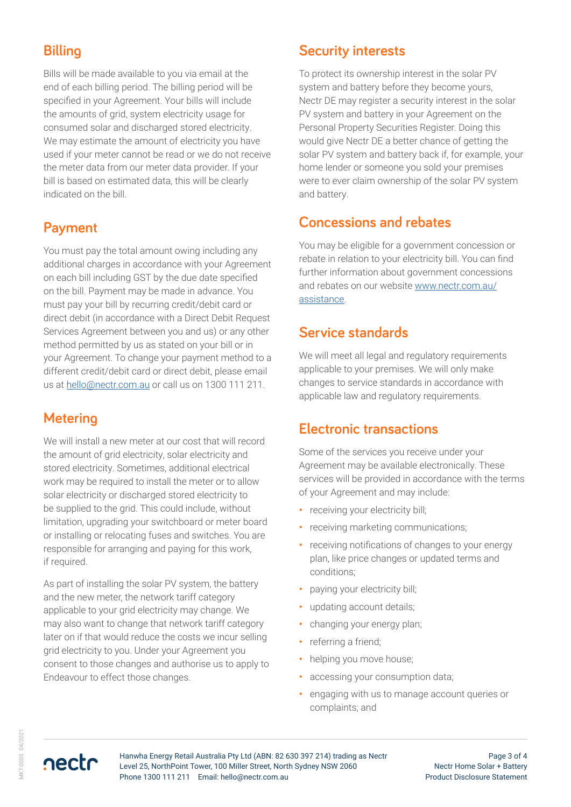# **Billing**

Bills will be made available to you via email at the end of each billing period. The billing period will be specified in your Agreement. Your bills will include the amounts of grid, system electricity usage for consumed solar and discharged stored electricity. We may estimate the amount of electricity you have used if your meter cannot be read or we do not receive the meter data from our meter data provider. If your bill is based on estimated data, this will be clearly indicated on the bill.

# **Payment**

You must pay the total amount owing including any additional charges in accordance with your Agreement on each bill including GST by the due date specified on the bill. Payment may be made in advance. You must pay your bill by recurring credit/debit card or direct debit (in accordance with a Direct Debit Request Services Agreement between you and us) or any other method permitted by us as stated on your bill or in your Agreement. To change your payment method to a different credit/debit card or direct debit, please email us at [hello@nectr.com.au](http://hello@nectr.com.au) or call us on 1300 111 211.

# **Metering**

We will install a new meter at our cost that will record the amount of grid electricity, solar electricity and stored electricity. Sometimes, additional electrical work may be required to install the meter or to allow solar electricity or discharged stored electricity to be supplied to the grid. This could include, without limitation, upgrading your switchboard or meter board or installing or relocating fuses and switches. You are responsible for arranging and paying for this work, if required.

As part of installing the solar PV system, the battery and the new meter, the network tariff category applicable to your grid electricity may change. We may also want to change that network tariff category later on if that would reduce the costs we incur selling grid electricity to you. Under your Agreement you consent to those changes and authorise us to apply to Endeavour to effect those changes.

# **Security interests**

To protect its ownership interest in the solar PV system and battery before they become yours, Nectr DE may register a security interest in the solar PV system and battery in your Agreement on the Personal Property Securities Register. Doing this would give Nectr DE a better chance of getting the solar PV system and battery back if, for example, your home lender or someone you sold your premises were to ever claim ownership of the solar PV system and battery.

# **Concessions and rebates**

You may be eligible for a government concession or rebate in relation to your electricity bill. You can find further information about government concessions and rebates on our website [www.nectr.com.au/](https://www.nectr.com.au/assistance) [assistance.](https://www.nectr.com.au/assistance)

## **Service standards**

We will meet all legal and regulatory requirements applicable to your premises. We will only make changes to service standards in accordance with applicable law and regulatory requirements.

## **Electronic transactions**

Some of the services you receive under your Agreement may be available electronically. These services will be provided in accordance with the terms of your Agreement and may include:

- **•** receiving your electricity bill;
- **•** receiving marketing communications;
- **•** receiving notifications of changes to your energy plan, like price changes or updated terms and conditions;
- **•** paying your electricity bill;
- **•** updating account details;
- **•** changing your energy plan;
- **•** referring a friend;
- **•** helping you move house;
- **•** accessing your consumption data;
- **•** engaging with us to manage account queries or complaints; and

nectr